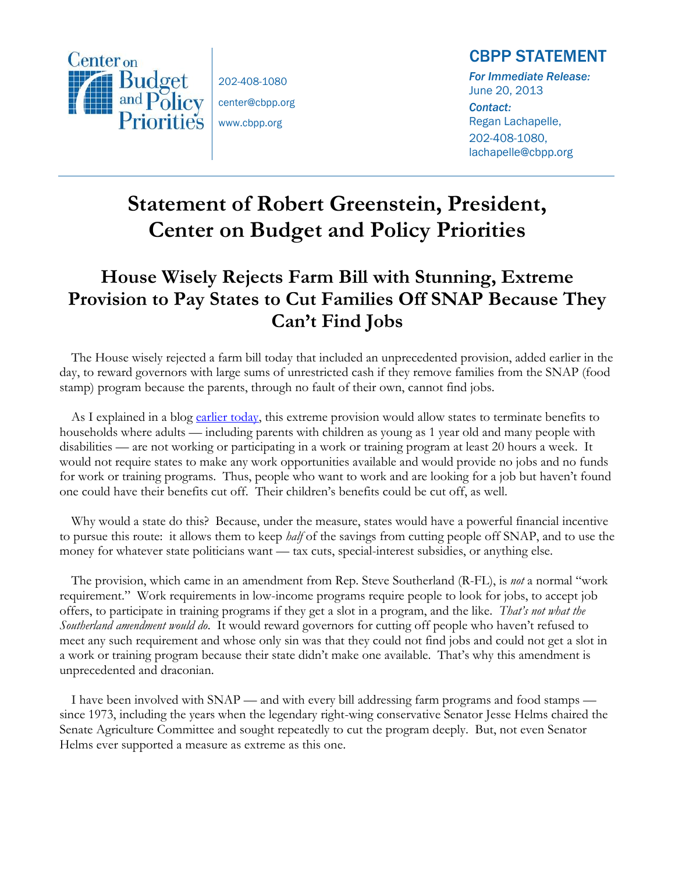

202-408-1080 center@cbpp.org www.cbpp.org

## CBPP STATEMENT

*For Immediate Release:*  June 20, 2013

*Contact:*  Regan Lachapelle, 202-408-1080, lachapelle@cbpp.org

## **Statement of Robert Greenstein, President, Center on Budget and Policy Priorities**

## **House Wisely Rejects Farm Bill with Stunning, Extreme Provision to Pay States to Cut Families Off SNAP Because They Can't Find Jobs**

The House wisely rejected a farm bill today that included an unprecedented provision, added earlier in the day, to reward governors with large sums of unrestricted cash if they remove families from the SNAP (food stamp) program because the parents, through no fault of their own, cannot find jobs.

As I explained in a blog [earlier today,](http://www.offthechartsblog.org/farm-bill-amendment-would-pay-states-to-cut-off-snap-benefits-for-people-who-want-to-work-but-cant-find-jobs/) this extreme provision would allow states to terminate benefits to households where adults — including parents with children as young as 1 year old and many people with disabilities — are not working or participating in a work or training program at least 20 hours a week. It would not require states to make any work opportunities available and would provide no jobs and no funds for work or training programs. Thus, people who want to work and are looking for a job but haven't found one could have their benefits cut off. Their children's benefits could be cut off, as well.

Why would a state do this? Because, under the measure, states would have a powerful financial incentive to pursue this route: it allows them to keep *half* of the savings from cutting people off SNAP, and to use the money for whatever state politicians want — tax cuts, special-interest subsidies, or anything else.

The provision, which came in an amendment from Rep. Steve Southerland (R-FL), is *not* a normal "work requirement." Work requirements in low-income programs require people to look for jobs, to accept job offers, to participate in training programs if they get a slot in a program, and the like. *That's not what the Southerland amendment would do*. It would reward governors for cutting off people who haven't refused to meet any such requirement and whose only sin was that they could not find jobs and could not get a slot in a work or training program because their state didn't make one available. That's why this amendment is unprecedented and draconian.

I have been involved with SNAP — and with every bill addressing farm programs and food stamps since 1973, including the years when the legendary right-wing conservative Senator Jesse Helms chaired the Senate Agriculture Committee and sought repeatedly to cut the program deeply. But, not even Senator Helms ever supported a measure as extreme as this one.